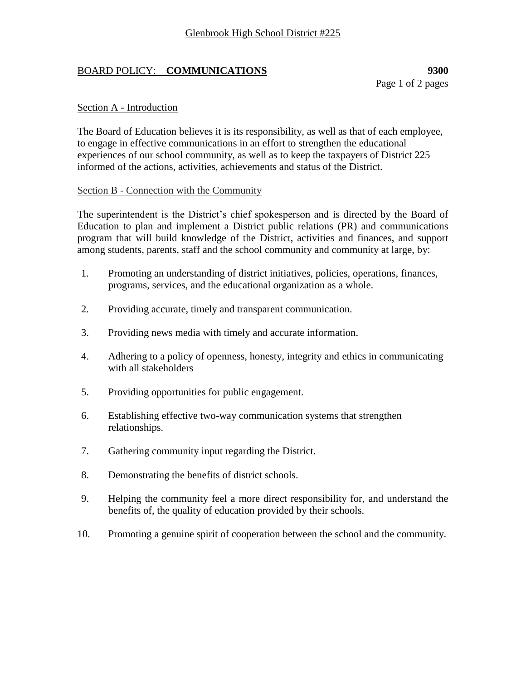## BOARD POLICY: **COMMUNICATIONS 9300**

Page 1 of 2 pages

## Section A - Introduction

The Board of Education believes it is its responsibility, as well as that of each employee, to engage in effective communications in an effort to strengthen the educational experiences of our school community, as well as to keep the taxpayers of District 225 informed of the actions, activities, achievements and status of the District.

## Section B - Connection with the Community

The superintendent is the District's chief spokesperson and is directed by the Board of Education to plan and implement a District public relations (PR) and communications program that will build knowledge of the District, activities and finances, and support among students, parents, staff and the school community and community at large, by:

- 1. Promoting an understanding of district initiatives, policies, operations, finances, programs, services, and the educational organization as a whole.
- 2. Providing accurate, timely and transparent communication.
- 3. Providing news media with timely and accurate information.
- 4. Adhering to a policy of openness, honesty, integrity and ethics in communicating with all stakeholders
- 5. Providing opportunities for public engagement.
- 6. Establishing effective two-way communication systems that strengthen relationships.
- 7. Gathering community input regarding the District.
- 8. Demonstrating the benefits of district schools.
- 9. Helping the community feel a more direct responsibility for, and understand the benefits of, the quality of education provided by their schools.
- 10. Promoting a genuine spirit of cooperation between the school and the community.